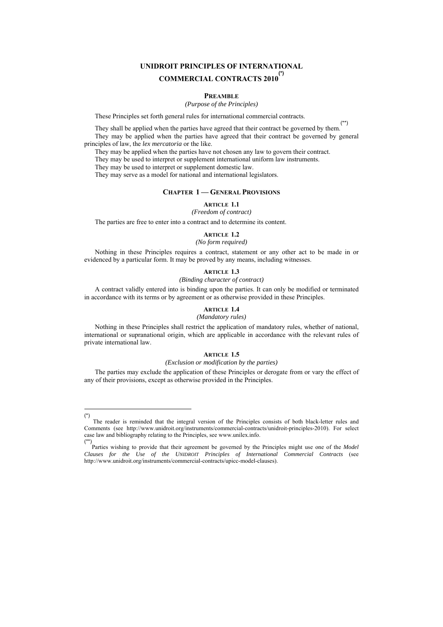# **UNIDROIT PRINCIPLES OF INTERNATIONAL COMMERCIAL CONTRACTS 2010(\*)**

#### **PREAMBLE**

*(Purpose of the Principles)* 

These Principles set forth general rules for international commercial contracts.

They shall be applied when the parties have agreed that their contract be governed by them. (\*\*) They may be applied when the parties have agreed that their contract be governed by general principles of law, the *lex mercatoria* or the like.

They may be applied when the parties have not chosen any law to govern their contract.

They may be used to interpret or supplement international uniform law instruments.

They may be used to interpret or supplement domestic law.

They may serve as a model for national and international legislators.

# **CHAPTER 1 — GENERAL PROVISIONS**

**ARTICLE 1.1** 

*(Freedom of contract)* 

The parties are free to enter into a contract and to determine its content.

# **ARTICLE 1.2**

# *(No form required)*

Nothing in these Principles requires a contract, statement or any other act to be made in or evidenced by a particular form. It may be proved by any means, including witnesses.

# **ARTICLE 1.3**

#### *(Binding character of contract)*

A contract validly entered into is binding upon the parties. It can only be modified or terminated in accordance with its terms or by agreement or as otherwise provided in these Principles.

#### **ARTICLE 1.4**

#### *(Mandatory rules)*

Nothing in these Principles shall restrict the application of mandatory rules, whether of national, international or supranational origin, which are applicable in accordance with the relevant rules of private international law.

#### **ARTICLE 1.5**

### *(Exclusion or modification by the parties)*

The parties may exclude the application of these Principles or derogate from or vary the effect of any of their provisions, except as otherwise provided in the Principles.

 $\equiv$ (\*)

The reader is reminded that the integral version of the Principles consists of both black-letter rules and Comments (see http://www.unidroit.org/instruments/commercial-contracts/unidroit-principles-2010). For select case law and bibliography relating to the Principles, see www.unilex.info. (\*\*)

Parties wishing to provide that their agreement be governed by the Principles might use one of the *Model Clauses for the Use of the UNIDROIT Principles of International Commercial Contracts* (see http://www.unidroit.org/instruments/commercial-contracts/upicc-model-clauses).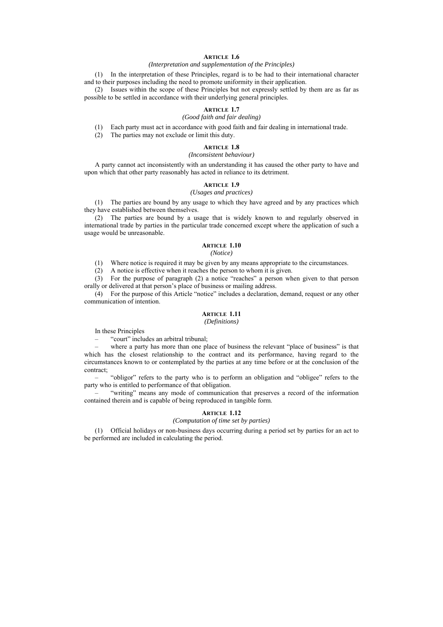# **ARTICLE 1.6**

#### *(Interpretation and supplementation of the Principles)*

(1) In the interpretation of these Principles, regard is to be had to their international character and to their purposes including the need to promote uniformity in their application.

(2) Issues within the scope of these Principles but not expressly settled by them are as far as possible to be settled in accordance with their underlying general principles.

#### **ARTICLE 1.7**

# *(Good faith and fair dealing)*

(1) Each party must act in accordance with good faith and fair dealing in international trade.

(2) The parties may not exclude or limit this duty.

# **ARTICLE 1.8**

#### *(Inconsistent behaviour)*

A party cannot act inconsistently with an understanding it has caused the other party to have and upon which that other party reasonably has acted in reliance to its detriment.

# **ARTICLE 1.9**

# *(Usages and practices)*

(1) The parties are bound by any usage to which they have agreed and by any practices which they have established between themselves.

(2) The parties are bound by a usage that is widely known to and regularly observed in international trade by parties in the particular trade concerned except where the application of such a usage would be unreasonable.

#### **ARTICLE 1.10**

#### *(Notice)*

(1) Where notice is required it may be given by any means appropriate to the circumstances.

(2) A notice is effective when it reaches the person to whom it is given.

(3) For the purpose of paragraph (2) a notice "reaches" a person when given to that person orally or delivered at that person's place of business or mailing address.

(4) For the purpose of this Article "notice" includes a declaration, demand, request or any other communication of intention.

# **ARTICLE 1.11**

### *(Definitions)*

In these Principles

– "court" includes an arbitral tribunal;

where a party has more than one place of business the relevant "place of business" is that which has the closest relationship to the contract and its performance, having regard to the circumstances known to or contemplated by the parties at any time before or at the conclusion of the contract;

– "obligor" refers to the party who is to perform an obligation and "obligee" refers to the party who is entitled to performance of that obligation.

– "writing" means any mode of communication that preserves a record of the information contained therein and is capable of being reproduced in tangible form.

#### **ARTICLE 1.12**

# *(Computation of time set by parties)*

(1) Official holidays or non-business days occurring during a period set by parties for an act to be performed are included in calculating the period.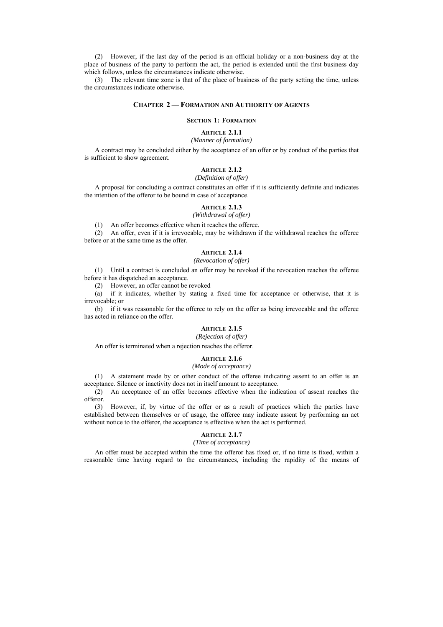(2) However, if the last day of the period is an official holiday or a non-business day at the place of business of the party to perform the act, the period is extended until the first business day which follows, unless the circumstances indicate otherwise.

(3) The relevant time zone is that of the place of business of the party setting the time, unless the circumstances indicate otherwise.

## **CHAPTER 2 — FORMATION AND AUTHORITY OF AGENTS**

#### **SECTION 1: FORMATION**

## **ARTICLE 2.1.1**

# *(Manner of formation)*

A contract may be concluded either by the acceptance of an offer or by conduct of the parties that is sufficient to show agreement.

# **ARTICLE 2.1.2**

#### *(Definition of offer)*

A proposal for concluding a contract constitutes an offer if it is sufficiently definite and indicates the intention of the offeror to be bound in case of acceptance.

#### **ARTICLE 2.1.3**

# *(Withdrawal of offer)*

(1) An offer becomes effective when it reaches the offeree.

(2) An offer, even if it is irrevocable, may be withdrawn if the withdrawal reaches the offeree before or at the same time as the offer.

# **ARTICLE 2.1.4**

# *(Revocation of offer)*

(1) Until a contract is concluded an offer may be revoked if the revocation reaches the offeree before it has dispatched an acceptance.

(2) However, an offer cannot be revoked

(a) if it indicates, whether by stating a fixed time for acceptance or otherwise, that it is irrevocable; or

(b) if it was reasonable for the offeree to rely on the offer as being irrevocable and the offeree has acted in reliance on the offer.

# **ARTICLE 2.1.5**

#### *(Rejection of offer)*

An offer is terminated when a rejection reaches the offeror.

#### **ARTICLE 2.1.6**

#### *(Mode of acceptance)*

(1) A statement made by or other conduct of the offeree indicating assent to an offer is an acceptance. Silence or inactivity does not in itself amount to acceptance.

(2) An acceptance of an offer becomes effective when the indication of assent reaches the offeror.

(3) However, if, by virtue of the offer or as a result of practices which the parties have established between themselves or of usage, the offeree may indicate assent by performing an act without notice to the offeror, the acceptance is effective when the act is performed.

# **ARTICLE 2.1.7**

# *(Time of acceptance)*

An offer must be accepted within the time the offeror has fixed or, if no time is fixed, within a reasonable time having regard to the circumstances, including the rapidity of the means of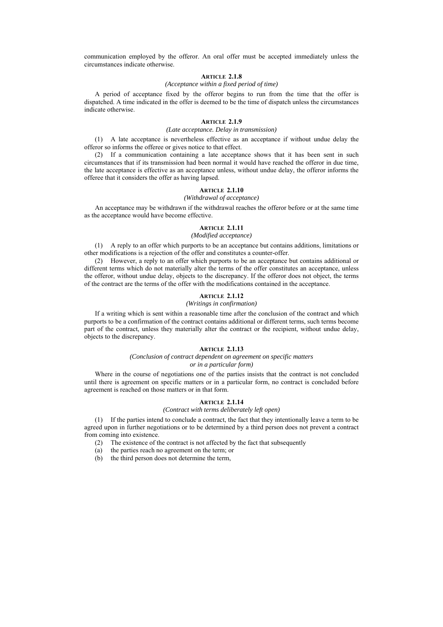communication employed by the offeror. An oral offer must be accepted immediately unless the circumstances indicate otherwise.

#### **ARTICLE 2.1.8**

### *(Acceptance within a fixed period of time)*

A period of acceptance fixed by the offeror begins to run from the time that the offer is dispatched. A time indicated in the offer is deemed to be the time of dispatch unless the circumstances indicate otherwise.

#### **ARTICLE 2.1.9**

#### *(Late acceptance. Delay in transmission)*

(1) A late acceptance is nevertheless effective as an acceptance if without undue delay the offeror so informs the offeree or gives notice to that effect.

(2) If a communication containing a late acceptance shows that it has been sent in such circumstances that if its transmission had been normal it would have reached the offeror in due time, the late acceptance is effective as an acceptance unless, without undue delay, the offeror informs the offeree that it considers the offer as having lapsed.

### **ARTICLE 2.1.10**

#### *(Withdrawal of acceptance)*

An acceptance may be withdrawn if the withdrawal reaches the offeror before or at the same time as the acceptance would have become effective.

# **ARTICLE 2.1.11**

#### *(Modified acceptance)*

(1) A reply to an offer which purports to be an acceptance but contains additions, limitations or other modifications is a rejection of the offer and constitutes a counter-offer.

(2) However, a reply to an offer which purports to be an acceptance but contains additional or different terms which do not materially alter the terms of the offer constitutes an acceptance, unless the offeror, without undue delay, objects to the discrepancy. If the offeror does not object, the terms of the contract are the terms of the offer with the modifications contained in the acceptance.

#### **ARTICLE 2.1.12**

# *(Writings in confirmation)*

If a writing which is sent within a reasonable time after the conclusion of the contract and which purports to be a confirmation of the contract contains additional or different terms, such terms become part of the contract, unless they materially alter the contract or the recipient, without undue delay, objects to the discrepancy.

#### **ARTICLE 2.1.13**

#### *(Conclusion of contract dependent on agreement on specific matters or in a particular form)*

Where in the course of negotiations one of the parties insists that the contract is not concluded until there is agreement on specific matters or in a particular form, no contract is concluded before agreement is reached on those matters or in that form.

#### **ARTICLE 2.1.14**

#### *(Contract with terms deliberately left open)*

(1) If the parties intend to conclude a contract, the fact that they intentionally leave a term to be agreed upon in further negotiations or to be determined by a third person does not prevent a contract from coming into existence.

- (2) The existence of the contract is not affected by the fact that subsequently
- (a) the parties reach no agreement on the term; or
- (b) the third person does not determine the term,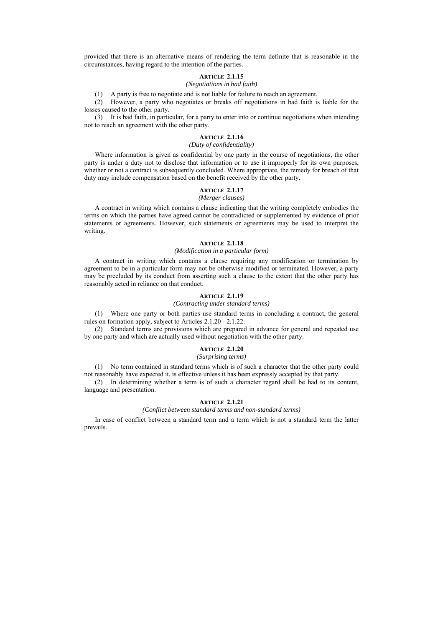provided that there is an alternative means of rendering the term definite that is reasonable in the circumstances, having regard to the intention of the parties.

#### **ARTICLE 2.1.15**

### *(Negotiations in bad faith)*

(1) A party is free to negotiate and is not liable for failure to reach an agreement.

(2) However, a party who negotiates or breaks off negotiations in bad faith is liable for the losses caused to the other party.

(3) It is bad faith, in particular, for a party to enter into or continue negotiations when intending not to reach an agreement with the other party.

# **ARTICLE 2.1.16**

# *(Duty of confidentiality)*

Where information is given as confidential by one party in the course of negotiations, the other party is under a duty not to disclose that information or to use it improperly for its own purposes, whether or not a contract is subsequently concluded. Where appropriate, the remedy for breach of that duty may include compensation based on the benefit received by the other party.

# **ARTICLE 2.1.17**

#### *(Merger clauses)*

A contract in writing which contains a clause indicating that the writing completely embodies the terms on which the parties have agreed cannot be contradicted or supplemented by evidence of prior statements or agreements. However, such statements or agreements may be used to interpret the writing.

### **ARTICLE 2.1.18**

### *(Modification in a particular form)*

A contract in writing which contains a clause requiring any modification or termination by agreement to be in a particular form may not be otherwise modified or terminated. However, a party may be precluded by its conduct from asserting such a clause to the extent that the other party has reasonably acted in reliance on that conduct.

#### **ARTICLE 2.1.19**

*(Contracting under standard terms)* 

(1) Where one party or both parties use standard terms in concluding a contract, the general rules on formation apply, subject to Articles 2.1.20 - 2.1.22.

(2) Standard terms are provisions which are prepared in advance for general and repeated use by one party and which are actually used without negotiation with the other party.

#### **ARTICLE 2.1.20**

### *(Surprising terms)*

(1) No term contained in standard terms which is of such a character that the other party could not reasonably have expected it, is effective unless it has been expressly accepted by that party.

(2) In determining whether a term is of such a character regard shall be had to its content, language and presentation.

### **ARTICLE 2.1.21**

#### *(Conflict between standard terms and non-standard terms)*

In case of conflict between a standard term and a term which is not a standard term the latter prevails.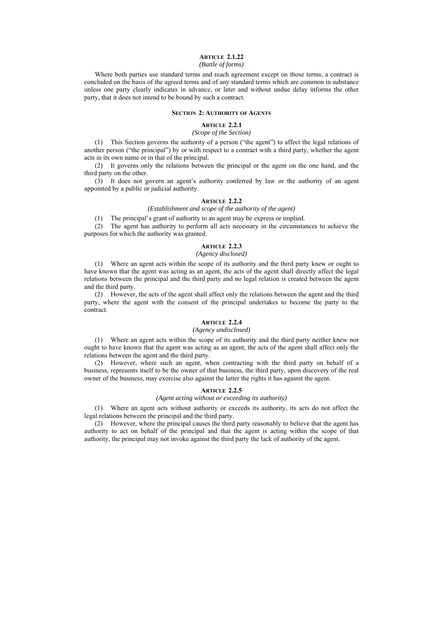# **ARTICLE 2.1.22**

# *(Battle of forms)*

Where both parties use standard terms and reach agreement except on those terms, a contract is concluded on the basis of the agreed terms and of any standard terms which are common in substance unless one party clearly indicates in advance, or later and without undue delay informs the other party, that it does not intend to be bound by such a contract.

### **SECTION 2: AUTHORITY OF AGENTS**

# **ARTICLE 2.2.1**

### *(Scope of the Section)*

(1) This Section governs the authority of a person ("the agent") to affect the legal relations of another person ("the principal") by or with respect to a contract with a third party, whether the agent acts in its own name or in that of the principal.

(2) It governs only the relations between the principal or the agent on the one hand, and the third party on the other.

(3) It does not govern an agent's authority conferred by law or the authority of an agent appointed by a public or judicial authority.

#### **ARTICLE 2.2.2**

# *(Establishment and scope of the authority of the agent)*

(1) The principal's grant of authority to an agent may be express or implied.

(2) The agent has authority to perform all acts necessary in the circumstances to achieve the purposes for which the authority was granted.

#### **ARTICLE 2.2.3**

#### *(Agency disclosed)*

(1) Where an agent acts within the scope of its authority and the third party knew or ought to have known that the agent was acting as an agent, the acts of the agent shall directly affect the legal relations between the principal and the third party and no legal relation is created between the agent and the third party.

(2) However, the acts of the agent shall affect only the relations between the agent and the third party, where the agent with the consent of the principal undertakes to become the party to the contract.

# **ARTICLE 2.2.4**

### *(Agency undisclosed)*

(1) Where an agent acts within the scope of its authority and the third party neither knew nor ought to have known that the agent was acting as an agent, the acts of the agent shall affect only the relations between the agent and the third party.

(2) However, where such an agent, when contracting with the third party on behalf of a business, represents itself to be the owner of that business, the third party, upon discovery of the real owner of the business, may exercise also against the latter the rights it has against the agent.

#### **ARTICLE 2.2.5**

#### *(Agent acting without or exceeding its authority)*

(1) Where an agent acts without authority or exceeds its authority, its acts do not affect the legal relations between the principal and the third party.

(2) However, where the principal causes the third party reasonably to believe that the agent has authority to act on behalf of the principal and that the agent is acting within the scope of that authority, the principal may not invoke against the third party the lack of authority of the agent.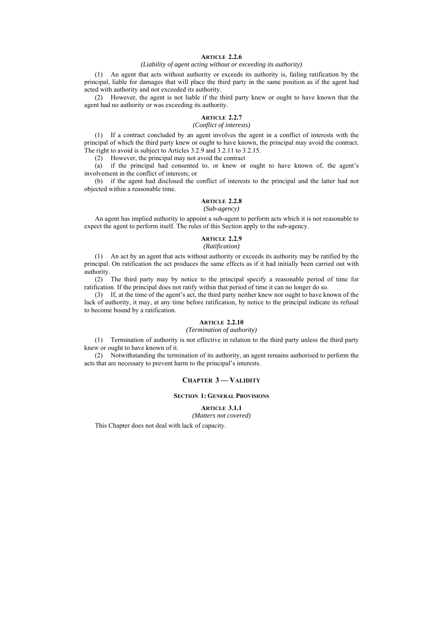# **ARTICLE 2.2.6**

### *(Liability of agent acting without or exceeding its authority)*

(1) An agent that acts without authority or exceeds its authority is, failing ratification by the principal, liable for damages that will place the third party in the same position as if the agent had acted with authority and not exceeded its authority.

(2) However, the agent is not liable if the third party knew or ought to have known that the agent had no authority or was exceeding its authority.

# **ARTICLE 2.2.7**

# *(Conflict of interests)*

(1) If a contract concluded by an agent involves the agent in a conflict of interests with the principal of which the third party knew or ought to have known, the principal may avoid the contract. The right to avoid is subject to Articles 3.2.9 and 3.2.11 to 3.2.15.

(2) However, the principal may not avoid the contract

(a) if the principal had consented to, or knew or ought to have known of, the agent's involvement in the conflict of interests; or

(b) if the agent had disclosed the conflict of interests to the principal and the latter had not objected within a reasonable time.

# **ARTICLE 2.2.8**

#### *(Sub-agency)*

An agent has implied authority to appoint a sub-agent to perform acts which it is not reasonable to expect the agent to perform itself. The rules of this Section apply to the sub-agency.

# **ARTICLE 2.2.9**

# *(Ratification)*

(1) An act by an agent that acts without authority or exceeds its authority may be ratified by the principal. On ratification the act produces the same effects as if it had initially been carried out with authority.

(2) The third party may by notice to the principal specify a reasonable period of time for ratification. If the principal does not ratify within that period of time it can no longer do so.

(3) If, at the time of the agent's act, the third party neither knew nor ought to have known of the lack of authority, it may, at any time before ratification, by notice to the principal indicate its refusal to become bound by a ratification.

# **ARTICLE 2.2.10**

*(Termination of authority)* 

(1) Termination of authority is not effective in relation to the third party unless the third party knew or ought to have known of it.

(2) Notwithstanding the termination of its authority, an agent remains authorised to perform the acts that are necessary to prevent harm to the principal's interests.

### **CHAPTER 3 — VALIDITY**

# **SECTION 1: GENERAL PROVISIONS**

**ARTICLE 3.1.1** 

*(Matters not covered)* 

This Chapter does not deal with lack of capacity.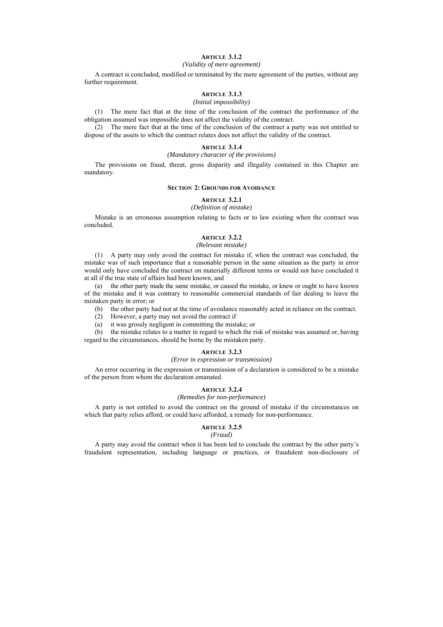# **ARTICLE 3.1.2**

#### *(Validity of mere agreement)*

A contract is concluded, modified or terminated by the mere agreement of the parties, without any further requirement.

# **ARTICLE 3.1.3**

*(Initial impossibility)* 

(1) The mere fact that at the time of the conclusion of the contract the performance of the obligation assumed was impossible does not affect the validity of the contract.

(2) The mere fact that at the time of the conclusion of the contract a party was not entitled to dispose of the assets to which the contract relates does not affect the validity of the contract.

#### **ARTICLE 3.1.4**

#### *(Mandatory character of the provisions)*

The provisions on fraud, threat, gross disparity and illegality contained in this Chapter are mandatory.

#### **SECTION 2: GROUNDS FOR AVOIDANCE**

#### **ARTICLE 3.2.1**

#### *(Definition of mistake)*

Mistake is an erroneous assumption relating to facts or to law existing when the contract was concluded.

# **ARTICLE 3.2.2**

#### *(Relevant mistake)*

(1) A party may only avoid the contract for mistake if, when the contract was concluded, the mistake was of such importance that a reasonable person in the same situation as the party in error would only have concluded the contract on materially different terms or would not have concluded it at all if the true state of affairs had been known, and

(a) the other party made the same mistake, or caused the mistake, or knew or ought to have known of the mistake and it was contrary to reasonable commercial standards of fair dealing to leave the mistaken party in error; or

(b) the other party had not at the time of avoidance reasonably acted in reliance on the contract.

(2) However, a party may not avoid the contract if

(a) it was grossly negligent in committing the mistake; or

(b) the mistake relates to a matter in regard to which the risk of mistake was assumed or, having regard to the circumstances, should be borne by the mistaken party.

#### **ARTICLE 3.2.3**

#### *(Error in expression or transmission)*

An error occurring in the expression or transmission of a declaration is considered to be a mistake of the person from whom the declaration emanated.

#### **ARTICLE 3.2.4**

#### *(Remedies for non-performance)*

A party is not entitled to avoid the contract on the ground of mistake if the circumstances on which that party relies afford, or could have afforded, a remedy for non-performance.

#### **ARTICLE 3.2.5**

#### *(Fraud)*

A party may avoid the contract when it has been led to conclude the contract by the other party's fraudulent representation, including language or practices, or fraudulent non-disclosure of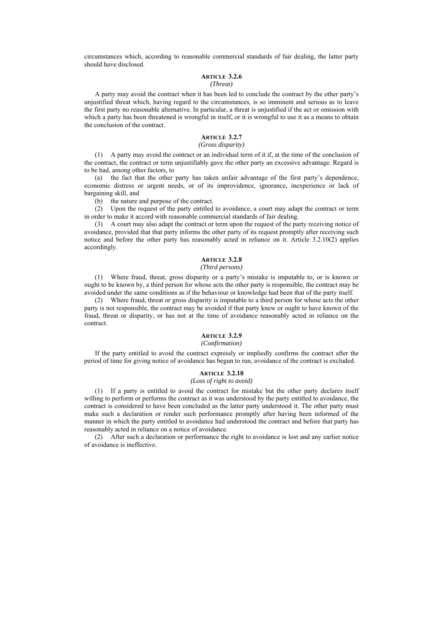circumstances which, according to reasonable commercial standards of fair dealing, the latter party should have disclosed.

#### **ARTICLE 3.2.6**  *(Threat)*

# A party may avoid the contract when it has been led to conclude the contract by the other party's unjustified threat which, having regard to the circumstances, is so imminent and serious as to leave the first party no reasonable alternative. In particular, a threat is unjustified if the act or omission with which a party has been threatened is wrongful in itself, or it is wrongful to use it as a means to obtain

#### **ARTICLE 3.2.7**

# *(Gross disparity)*

(1) A party may avoid the contract or an individual term of it if, at the time of the conclusion of the contract, the contract or term unjustifiably gave the other party an excessive advantage. Regard is to be had, among other factors, to

(a) the fact that the other party has taken unfair advantage of the first party's dependence, economic distress or urgent needs, or of its improvidence, ignorance, inexperience or lack of bargaining skill, and

(b) the nature and purpose of the contract.

the conclusion of the contract.

(2) Upon the request of the party entitled to avoidance, a court may adapt the contract or term in order to make it accord with reasonable commercial standards of fair dealing.

(3) A court may also adapt the contract or term upon the request of the party receiving notice of avoidance, provided that that party informs the other party of its request promptly after receiving such notice and before the other party has reasonably acted in reliance on it. Article 3.2.10(2) applies accordingly.

# **ARTICLE 3.2.8**

#### *(Third persons)*

(1) Where fraud, threat, gross disparity or a party's mistake is imputable to, or is known or ought to be known by, a third person for whose acts the other party is responsible, the contract may be avoided under the same conditions as if the behaviour or knowledge had been that of the party itself.

(2) Where fraud, threat or gross disparity is imputable to a third person for whose acts the other party is not responsible, the contract may be avoided if that party knew or ought to have known of the fraud, threat or disparity, or has not at the time of avoidance reasonably acted in reliance on the contract.

#### **ARTICLE 3.2.9**

### *(Confirmation)*

If the party entitled to avoid the contract expressly or impliedly confirms the contract after the period of time for giving notice of avoidance has begun to run, avoidance of the contract is excluded.

#### **ARTICLE 3.2.10**

# *(Loss of right to avoid)*

(1) If a party is entitled to avoid the contract for mistake but the other party declares itself willing to perform or performs the contract as it was understood by the party entitled to avoidance, the contract is considered to have been concluded as the latter party understood it. The other party must make such a declaration or render such performance promptly after having been informed of the manner in which the party entitled to avoidance had understood the contract and before that party has reasonably acted in reliance on a notice of avoidance.

(2) After such a declaration or performance the right to avoidance is lost and any earlier notice of avoidance is ineffective.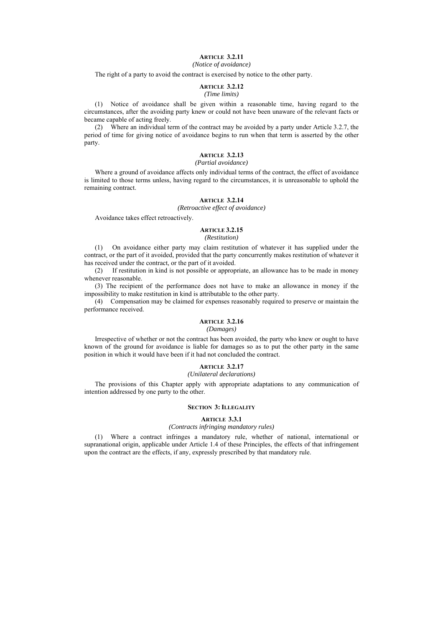# **ARTICLE 3.2.11**

# *(Notice of avoidance)*

The right of a party to avoid the contract is exercised by notice to the other party.

# **ARTICLE 3.2.12**

# *(Time limits)*

(1) Notice of avoidance shall be given within a reasonable time, having regard to the circumstances, after the avoiding party knew or could not have been unaware of the relevant facts or became capable of acting freely.

(2) Where an individual term of the contract may be avoided by a party under Article 3.2.7, the period of time for giving notice of avoidance begins to run when that term is asserted by the other party.

# **ARTICLE 3.2.13**

#### *(Partial avoidance)*

Where a ground of avoidance affects only individual terms of the contract, the effect of avoidance is limited to those terms unless, having regard to the circumstances, it is unreasonable to uphold the remaining contract.

# **ARTICLE 3.2.14**

*(Retroactive effect of avoidance)* 

Avoidance takes effect retroactively.

# **ARTICLE 3.2.15**

#### *(Restitution)*

(1) On avoidance either party may claim restitution of whatever it has supplied under the contract, or the part of it avoided, provided that the party concurrently makes restitution of whatever it has received under the contract, or the part of it avoided.

(2) If restitution in kind is not possible or appropriate, an allowance has to be made in money whenever reasonable.

(3) The recipient of the performance does not have to make an allowance in money if the impossibility to make restitution in kind is attributable to the other party.

(4) Compensation may be claimed for expenses reasonably required to preserve or maintain the performance received.

# **ARTICLE 3.2.16**

### *(Damages)*

Irrespective of whether or not the contract has been avoided, the party who knew or ought to have known of the ground for avoidance is liable for damages so as to put the other party in the same position in which it would have been if it had not concluded the contract.

# **ADTICLE 3.2.17**

*(Unilateral declarations)* 

The provisions of this Chapter apply with appropriate adaptations to any communication of intention addressed by one party to the other.

#### **SECTION 3: ILLEGALITY**

#### **ARTICLE 3.3.1**

### *(Contracts infringing mandatory rules)*

(1) Where a contract infringes a mandatory rule, whether of national, international or supranational origin, applicable under Article 1.4 of these Principles, the effects of that infringement upon the contract are the effects, if any, expressly prescribed by that mandatory rule.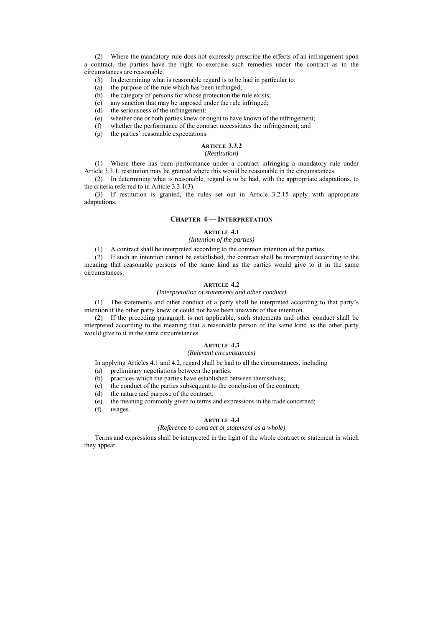(2) Where the mandatory rule does not expressly prescribe the effects of an infringement upon a contract, the parties have the right to exercise such remedies under the contract as in the circumstances are reasonable.

- (3) In determining what is reasonable regard is to be had in particular to:
- (a) the purpose of the rule which has been infringed;
- (b) the category of persons for whose protection the rule exists;
- (c) any sanction that may be imposed under the rule infringed;
- (d) the seriousness of the infringement;
- (e) whether one or both parties knew or ought to have known of the infringement;
- (f) whether the performance of the contract necessitates the infringement; and  $(g)$  the parties' reasonable expectations.
- the parties' reasonable expectations.

#### **ARTICLE 3.3.2**  *(Restitution)*

(1) Where there has been performance under a contract infringing a mandatory rule under Article 3.3.1, restitution may be granted where this would be reasonable in the circumstances.

(2) In determining what is reasonable, regard is to be had, with the appropriate adaptations, to the criteria referred to in Article 3.3.1(3).

(3) If restitution is granted, the rules set out in Article 3.2.15 apply with appropriate adaptations.

#### **CHAPTER 4 — INTERPRETATION**

#### **ARTICLE 4.1**

#### *(Intention of the parties)*

(1) A contract shall be interpreted according to the common intention of the parties.

(2) If such an intention cannot be established, the contract shall be interpreted according to the meaning that reasonable persons of the same kind as the parties would give to it in the same circumstances.

# **ARTICLE 4.2**

#### *(Interpretation of statements and other conduct)*

(1) The statements and other conduct of a party shall be interpreted according to that party's intention if the other party knew or could not have been unaware of that intention.

(2) If the preceding paragraph is not applicable, such statements and other conduct shall be interpreted according to the meaning that a reasonable person of the same kind as the other party would give to it in the same circumstances.

### **ARTICLE 4.3**

# *(Relevant circumstances)*

In applying Articles 4.1 and 4.2, regard shall be had to all the circumstances, including

(a) preliminary negotiations between the parties;

- (b) practices which the parties have established between themselves;
- (c) the conduct of the parties subsequent to the conclusion of the contract;<br>(d) the nature and purpose of the contract:
- the nature and purpose of the contract;
- (e) the meaning commonly given to terms and expressions in the trade concerned;
- (f) usages.

# **ARTICLE 4.4**

#### *(Reference to contract or statement as a whole)*

Terms and expressions shall be interpreted in the light of the whole contract or statement in which they appear.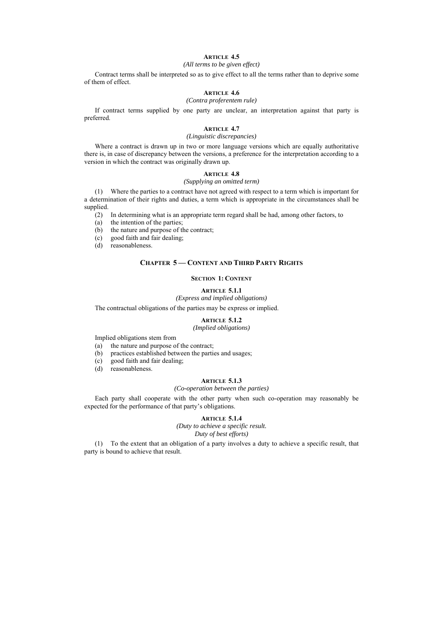# **ARTICLE 4.5**

### *(All terms to be given effect)*

Contract terms shall be interpreted so as to give effect to all the terms rather than to deprive some of them of effect.

# **ARTICLE 4.6**

#### *(Contra proferentem rule)*

If contract terms supplied by one party are unclear, an interpretation against that party is preferred.

#### **ARTICLE 4.7**

#### *(Linguistic discrepancies)*

Where a contract is drawn up in two or more language versions which are equally authoritative there is, in case of discrepancy between the versions, a preference for the interpretation according to a version in which the contract was originally drawn up.

# **ARTICLE 4.8**

#### *(Supplying an omitted term)*

(1) Where the parties to a contract have not agreed with respect to a term which is important for a determination of their rights and duties, a term which is appropriate in the circumstances shall be supplied.

(2) In determining what is an appropriate term regard shall be had, among other factors, to

(a) the intention of the parties;

(b) the nature and purpose of the contract;

- (c) good faith and fair dealing;
- (d) reasonableness.

### **CHAPTER 5 — CONTENT AND THIRD PARTY RIGHTS**

#### **SECTION 1: CONTENT**

#### **ARTICLE 5.1.1**

### *(Express and implied obligations)*

The contractual obligations of the parties may be express or implied.

#### **ARTICLE 5.1.2**

#### *(Implied obligations)*

Implied obligations stem from

- (a) the nature and purpose of the contract;
- (b) practices established between the parties and usages;
- (c) good faith and fair dealing;
- (d) reasonableness.

#### **ARTICLE 5.1.3**

### *(Co-operation between the parties)*

Each party shall cooperate with the other party when such co-operation may reasonably be expected for the performance of that party's obligations.

# **ARTICLE 5.1.4**

*(Duty to achieve a specific result. Duty of best efforts)* 

(1) To the extent that an obligation of a party involves a duty to achieve a specific result, that party is bound to achieve that result.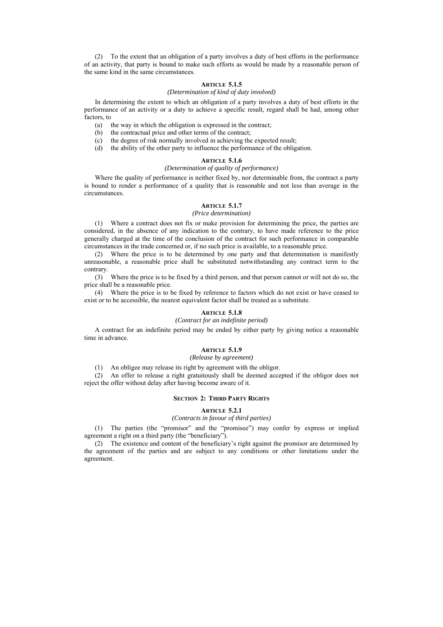(2) To the extent that an obligation of a party involves a duty of best efforts in the performance of an activity, that party is bound to make such efforts as would be made by a reasonable person of the same kind in the same circumstances.

# **ARTICLE 5.1.5**

#### *(Determination of kind of duty involved)*

In determining the extent to which an obligation of a party involves a duty of best efforts in the performance of an activity or a duty to achieve a specific result, regard shall be had, among other factors, to

- (a) the way in which the obligation is expressed in the contract;
- (b) the contractual price and other terms of the contract;
- (c) the degree of risk normally involved in achieving the expected result;
- (d) the ability of the other party to influence the performance of the obligation.

# **ARTICLE 5.1.6**

#### *(Determination of quality of performance)*

Where the quality of performance is neither fixed by, nor determinable from, the contract a party is bound to render a performance of a quality that is reasonable and not less than average in the circumstances.

### **ARTICLE 5.1.7**

#### *(Price determination)*

(1) Where a contract does not fix or make provision for determining the price, the parties are considered, in the absence of any indication to the contrary, to have made reference to the price generally charged at the time of the conclusion of the contract for such performance in comparable circumstances in the trade concerned or, if no such price is available, to a reasonable price.

(2) Where the price is to be determined by one party and that determination is manifestly unreasonable, a reasonable price shall be substituted notwithstanding any contract term to the contrary.

(3) Where the price is to be fixed by a third person, and that person cannot or will not do so, the price shall be a reasonable price.

(4) Where the price is to be fixed by reference to factors which do not exist or have ceased to exist or to be accessible, the nearest equivalent factor shall be treated as a substitute.

# **ARTICLE 5.1.8**

### *(Contract for an indefinite period)*

A contract for an indefinite period may be ended by either party by giving notice a reasonable time in advance.

### **ARTICLE 5.1.9**

### *(Release by agreement)*

(1) An obligee may release its right by agreement with the obligor.

(2) An offer to release a right gratuitously shall be deemed accepted if the obligor does not reject the offer without delay after having become aware of it.

#### **SECTION 2: THIRD PARTY RIGHTS**

### **ARTICLE 5.2.1**

### *(Contracts in favour of third parties)*

(1) The parties (the "promisor" and the "promisee") may confer by express or implied agreement a right on a third party (the "beneficiary").

(2) The existence and content of the beneficiary's right against the promisor are determined by the agreement of the parties and are subject to any conditions or other limitations under the agreement.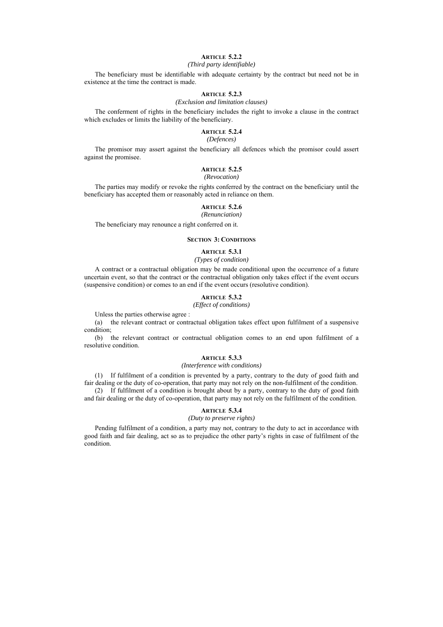# **ARTICLE 5.2.2**

# *(Third party identifiable)*

The beneficiary must be identifiable with adequate certainty by the contract but need not be in existence at the time the contract is made.

# **ARTICLE 5.2.3**

### *(Exclusion and limitation clauses)*

The conferment of rights in the beneficiary includes the right to invoke a clause in the contract which excludes or limits the liability of the beneficiary.

# **ARTICLE 5.2.4**

# *(Defences)*

The promisor may assert against the beneficiary all defences which the promisor could assert against the promisee.

# **ARTICLE 5.2.5**

#### *(Revocation)*

The parties may modify or revoke the rights conferred by the contract on the beneficiary until the beneficiary has accepted them or reasonably acted in reliance on them.

#### **ARTICLE 5.2.6**

#### *(Renunciation)*

The beneficiary may renounce a right conferred on it.

#### **SECTION 3: CONDITIONS**

# **ARTICLE 5.3.1**

# *(Types of condition)*

A contract or a contractual obligation may be made conditional upon the occurrence of a future uncertain event, so that the contract or the contractual obligation only takes effect if the event occurs (suspensive condition) or comes to an end if the event occurs (resolutive condition).

# **ARTICLE 5.3.2**

#### *(Effect of conditions)*

Unless the parties otherwise agree :

(a) the relevant contract or contractual obligation takes effect upon fulfilment of a suspensive condition;

(b) the relevant contract or contractual obligation comes to an end upon fulfilment of a resolutive condition.

### **ARTICLE 5.3.3**

#### *(Interference with conditions)*

(1) If fulfilment of a condition is prevented by a party, contrary to the duty of good faith and fair dealing or the duty of co-operation, that party may not rely on the non-fulfilment of the condition. (2) If fulfilment of a condition is brought about by a party, contrary to the duty of good faith

and fair dealing or the duty of co-operation, that party may not rely on the fulfilment of the condition.

# **ARTICLE 5.3.4**

# *(Duty to preserve rights)*

Pending fulfilment of a condition, a party may not, contrary to the duty to act in accordance with good faith and fair dealing, act so as to prejudice the other party's rights in case of fulfilment of the condition.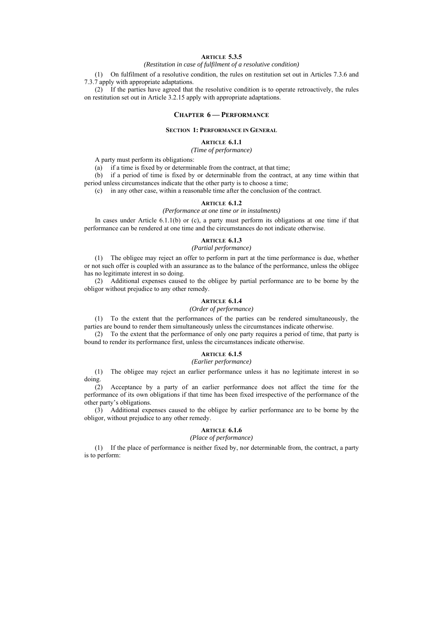# **ARTICLE 5.3.5**

*(Restitution in case of fulfilment of a resolutive condition)* 

(1) On fulfilment of a resolutive condition, the rules on restitution set out in Articles 7.3.6 and 7.3.7 apply with appropriate adaptations.

(2) If the parties have agreed that the resolutive condition is to operate retroactively, the rules on restitution set out in Article 3.2.15 apply with appropriate adaptations.

#### **CHAPTER 6 — PERFORMANCE**

#### **SECTION 1: PERFORMANCE IN GENERAL**

#### **ARTICLE 6.1.1**

#### *(Time of performance)*

A party must perform its obligations:

(a) if a time is fixed by or determinable from the contract, at that time;

(b) if a period of time is fixed by or determinable from the contract, at any time within that period unless circumstances indicate that the other party is to choose a time;

(c) in any other case, within a reasonable time after the conclusion of the contract.

#### **ARTICLE 6.1.2**

#### *(Performance at one time or in instalments)*

In cases under Article  $6.1.1(b)$  or (c), a party must perform its obligations at one time if that performance can be rendered at one time and the circumstances do not indicate otherwise.

# **ARTICLE 6.1.3**

### *(Partial performance)*

(1) The obligee may reject an offer to perform in part at the time performance is due, whether or not such offer is coupled with an assurance as to the balance of the performance, unless the obligee has no legitimate interest in so doing.

(2) Additional expenses caused to the obligee by partial performance are to be borne by the obligor without prejudice to any other remedy.

# **ARTICLE 6.1.4**

#### *(Order of performance)*

(1) To the extent that the performances of the parties can be rendered simultaneously, the parties are bound to render them simultaneously unless the circumstances indicate otherwise.

(2) To the extent that the performance of only one party requires a period of time, that party is bound to render its performance first, unless the circumstances indicate otherwise.

# **ARTICLE 6.1.5**

# *(Earlier performance)*

(1) The obligee may reject an earlier performance unless it has no legitimate interest in so doing.

(2) Acceptance by a party of an earlier performance does not affect the time for the performance of its own obligations if that time has been fixed irrespective of the performance of the other party's obligations.

(3) Additional expenses caused to the obligee by earlier performance are to be borne by the obligor, without prejudice to any other remedy.

# **ARTICLE 6.1.6**

#### *(Place of performance)*

(1) If the place of performance is neither fixed by, nor determinable from, the contract, a party is to perform: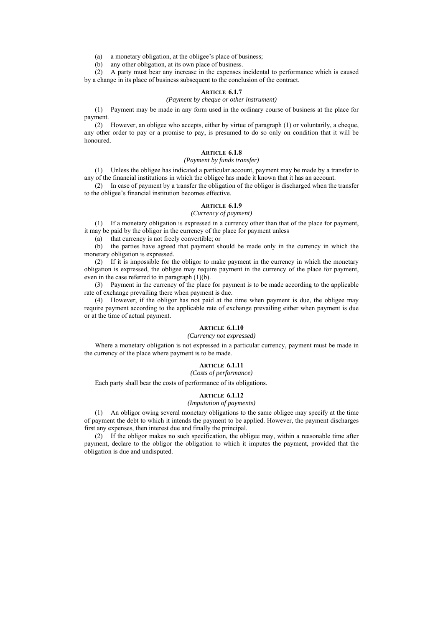(a) a monetary obligation, at the obligee's place of business;

(b) any other obligation, at its own place of business.

(2) A party must bear any increase in the expenses incidental to performance which is caused by a change in its place of business subsequent to the conclusion of the contract.

#### **ARTICLE 6.1.7**

#### *(Payment by cheque or other instrument)*

(1) Payment may be made in any form used in the ordinary course of business at the place for payment.

(2) However, an obligee who accepts, either by virtue of paragraph (1) or voluntarily, a cheque, any other order to pay or a promise to pay, is presumed to do so only on condition that it will be honoured.

### **ARTICLE 6.1.8**

### *(Payment by funds transfer)*

(1) Unless the obligee has indicated a particular account, payment may be made by a transfer to any of the financial institutions in which the obligee has made it known that it has an account.

(2) In case of payment by a transfer the obligation of the obligor is discharged when the transfer to the obligee's financial institution becomes effective.

#### **ARTICLE 6.1.9**

#### *(Currency of payment)*

(1) If a monetary obligation is expressed in a currency other than that of the place for payment, it may be paid by the obligor in the currency of the place for payment unless

(a) that currency is not freely convertible; or

(b) the parties have agreed that payment should be made only in the currency in which the monetary obligation is expressed.

(2) If it is impossible for the obligor to make payment in the currency in which the monetary obligation is expressed, the obligee may require payment in the currency of the place for payment, even in the case referred to in paragraph  $(1)(b)$ .

(3) Payment in the currency of the place for payment is to be made according to the applicable rate of exchange prevailing there when payment is due.

(4) However, if the obligor has not paid at the time when payment is due, the obligee may require payment according to the applicable rate of exchange prevailing either when payment is due or at the time of actual payment.

### **ARTICLE 6.1.10**

#### *(Currency not expressed)*

Where a monetary obligation is not expressed in a particular currency, payment must be made in the currency of the place where payment is to be made.

# **ARTICLE 6.1.11**

#### *(Costs of performance)*

Each party shall bear the costs of performance of its obligations.

#### **ARTICLE 6.1.12**

# *(Imputation of payments)*

(1) An obligor owing several monetary obligations to the same obligee may specify at the time of payment the debt to which it intends the payment to be applied. However, the payment discharges first any expenses, then interest due and finally the principal.

(2) If the obligor makes no such specification, the obligee may, within a reasonable time after payment, declare to the obligor the obligation to which it imputes the payment, provided that the obligation is due and undisputed.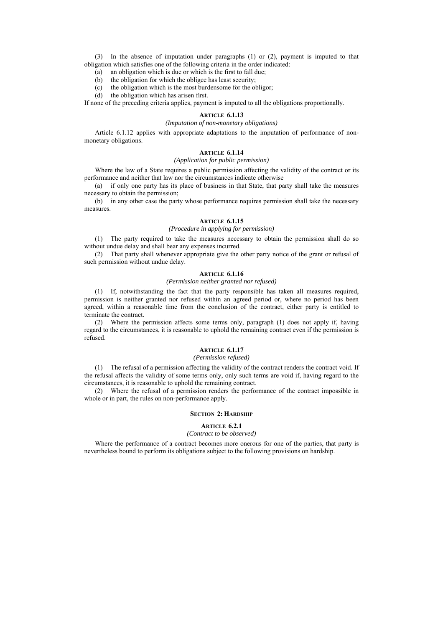(3) In the absence of imputation under paragraphs (1) or (2), payment is imputed to that obligation which satisfies one of the following criteria in the order indicated:

(a) an obligation which is due or which is the first to fall due;

- (b) the obligation for which the obligee has least security;
- (c) the obligation which is the most burdensome for the obligor;

(d) the obligation which has arisen first.

If none of the preceding criteria applies, payment is imputed to all the obligations proportionally.

#### **ARTICLE 6.1.13**

#### *(Imputation of non-monetary obligations)*

Article 6.1.12 applies with appropriate adaptations to the imputation of performance of nonmonetary obligations.

#### **ARTICLE 6.1.14**

#### *(Application for public permission)*

Where the law of a State requires a public permission affecting the validity of the contract or its performance and neither that law nor the circumstances indicate otherwise

(a) if only one party has its place of business in that State, that party shall take the measures necessary to obtain the permission;

(b) in any other case the party whose performance requires permission shall take the necessary measures.

### **ARTICLE 6.1.15**

# *(Procedure in applying for permission)*

(1) The party required to take the measures necessary to obtain the permission shall do so without undue delay and shall bear any expenses incurred.

(2) That party shall whenever appropriate give the other party notice of the grant or refusal of such permission without undue delay.

### **ARTICLE 6.1.16**

### *(Permission neither granted nor refused)*

(1) If, notwithstanding the fact that the party responsible has taken all measures required, permission is neither granted nor refused within an agreed period or, where no period has been agreed, within a reasonable time from the conclusion of the contract, either party is entitled to terminate the contract.

(2) Where the permission affects some terms only, paragraph (1) does not apply if, having regard to the circumstances, it is reasonable to uphold the remaining contract even if the permission is refused.

# **ARTICLE 6.1.17**

### *(Permission refused)*

(1) The refusal of a permission affecting the validity of the contract renders the contract void. If the refusal affects the validity of some terms only, only such terms are void if, having regard to the circumstances, it is reasonable to uphold the remaining contract.

(2) Where the refusal of a permission renders the performance of the contract impossible in whole or in part, the rules on non-performance apply.

#### **SECTION 2: HARDSHIP**

#### **ARTICLE 6.2.1**

#### *(Contract to be observed)*

Where the performance of a contract becomes more onerous for one of the parties, that party is nevertheless bound to perform its obligations subject to the following provisions on hardship.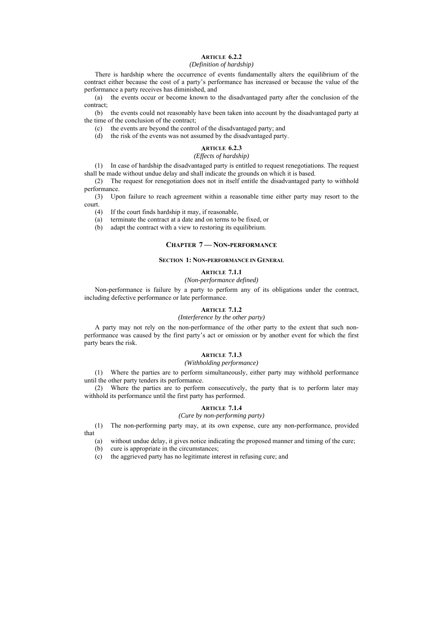# **ARTICLE 6.2.2**

#### *(Definition of hardship)*

There is hardship where the occurrence of events fundamentally alters the equilibrium of the contract either because the cost of a party's performance has increased or because the value of the performance a party receives has diminished, and

(a) the events occur or become known to the disadvantaged party after the conclusion of the contract;

(b) the events could not reasonably have been taken into account by the disadvantaged party at the time of the conclusion of the contract;

- (c) the events are beyond the control of the disadvantaged party; and
- (d) the risk of the events was not assumed by the disadvantaged party.

### **ARTICLE 6.2.3**

#### *(Effects of hardship)*

(1) In case of hardship the disadvantaged party is entitled to request renegotiations. The request shall be made without undue delay and shall indicate the grounds on which it is based.

(2) The request for renegotiation does not in itself entitle the disadvantaged party to withhold performance.

(3) Upon failure to reach agreement within a reasonable time either party may resort to the court.

(4) If the court finds hardship it may, if reasonable,

- (a) terminate the contract at a date and on terms to be fixed, or
- (b) adapt the contract with a view to restoring its equilibrium.

### **CHAPTER 7 — NON-PERFORMANCE**

#### **SECTION 1: NON-PERFORMANCE IN GENERAL**

# **ARTICLE 7.1.1**

*(Non-performance defined)* 

Non-performance is failure by a party to perform any of its obligations under the contract, including defective performance or late performance.

#### **ARTICLE 7.1.2**

# *(Interference by the other party)*

A party may not rely on the non-performance of the other party to the extent that such nonperformance was caused by the first party's act or omission or by another event for which the first party bears the risk.

### **ARTICLE 7.1.3**

### *(Withholding performance)*

(1) Where the parties are to perform simultaneously, either party may withhold performance until the other party tenders its performance.

(2) Where the parties are to perform consecutively, the party that is to perform later may withhold its performance until the first party has performed.

# **ARTICLE 7.1.4**

# *(Cure by non-performing party)*

(1) The non-performing party may, at its own expense, cure any non-performance, provided that

(a) without undue delay, it gives notice indicating the proposed manner and timing of the cure;

- (b) cure is appropriate in the circumstances;
- (c) the aggrieved party has no legitimate interest in refusing cure; and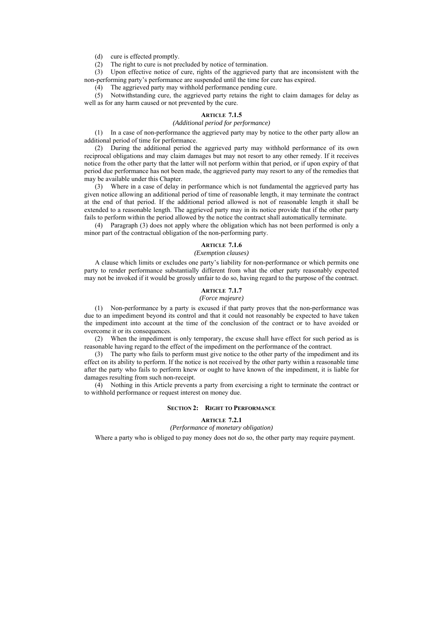(d) cure is effected promptly.

(2) The right to cure is not precluded by notice of termination.

(3) Upon effective notice of cure, rights of the aggrieved party that are inconsistent with the non-performing party's performance are suspended until the time for cure has expired.

(4) The aggrieved party may withhold performance pending cure.

(5) Notwithstanding cure, the aggrieved party retains the right to claim damages for delay as well as for any harm caused or not prevented by the cure.

#### **ARTICLE 7.1.5**

### *(Additional period for performance)*

(1) In a case of non-performance the aggrieved party may by notice to the other party allow an additional period of time for performance.

(2) During the additional period the aggrieved party may withhold performance of its own reciprocal obligations and may claim damages but may not resort to any other remedy. If it receives notice from the other party that the latter will not perform within that period, or if upon expiry of that period due performance has not been made, the aggrieved party may resort to any of the remedies that may be available under this Chapter.

(3) Where in a case of delay in performance which is not fundamental the aggrieved party has given notice allowing an additional period of time of reasonable length, it may terminate the contract at the end of that period. If the additional period allowed is not of reasonable length it shall be extended to a reasonable length. The aggrieved party may in its notice provide that if the other party fails to perform within the period allowed by the notice the contract shall automatically terminate.

(4) Paragraph (3) does not apply where the obligation which has not been performed is only a minor part of the contractual obligation of the non-performing party.

#### **ARTICLE 7.1.6**

#### *(Exemption clauses)*

A clause which limits or excludes one party's liability for non-performance or which permits one party to render performance substantially different from what the other party reasonably expected may not be invoked if it would be grossly unfair to do so, having regard to the purpose of the contract.

# **ARTICLE 7.1.7**

# *(Force majeure)*

(1) Non-performance by a party is excused if that party proves that the non-performance was due to an impediment beyond its control and that it could not reasonably be expected to have taken the impediment into account at the time of the conclusion of the contract or to have avoided or overcome it or its consequences.

(2) When the impediment is only temporary, the excuse shall have effect for such period as is reasonable having regard to the effect of the impediment on the performance of the contract.

(3) The party who fails to perform must give notice to the other party of the impediment and its effect on its ability to perform. If the notice is not received by the other party within a reasonable time after the party who fails to perform knew or ought to have known of the impediment, it is liable for damages resulting from such non-receipt.

(4) Nothing in this Article prevents a party from exercising a right to terminate the contract or to withhold performance or request interest on money due.

#### **SECTION 2: RIGHT TO PERFORMANCE**

# **ARTICLE 7.2.1**

*(Performance of monetary obligation)* 

Where a party who is obliged to pay money does not do so, the other party may require payment.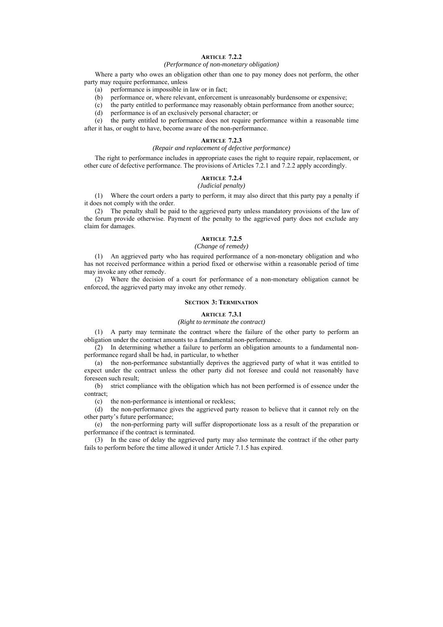# **ARTICLE 7.2.2**

#### *(Performance of non-monetary obligation)*

Where a party who owes an obligation other than one to pay money does not perform, the other party may require performance, unless

- (a) performance is impossible in law or in fact;
- (b) performance or, where relevant, enforcement is unreasonably burdensome or expensive;
- (c) the party entitled to performance may reasonably obtain performance from another source;
- (d) performance is of an exclusively personal character; or

(e) the party entitled to performance does not require performance within a reasonable time after it has, or ought to have, become aware of the non-performance.

### **ARTICLE 7.2.3**

#### *(Repair and replacement of defective performance)*

The right to performance includes in appropriate cases the right to require repair, replacement, or other cure of defective performance. The provisions of Articles 7.2.1 and 7.2.2 apply accordingly.

# **ARTICLE 7.2.4**

#### *(Judicial penalty)*

(1) Where the court orders a party to perform, it may also direct that this party pay a penalty if it does not comply with the order.

(2) The penalty shall be paid to the aggrieved party unless mandatory provisions of the law of the forum provide otherwise. Payment of the penalty to the aggrieved party does not exclude any claim for damages.

# **ARTICLE 7.2.5**

# *(Change of remedy)*

(1) An aggrieved party who has required performance of a non-monetary obligation and who has not received performance within a period fixed or otherwise within a reasonable period of time may invoke any other remedy.

(2) Where the decision of a court for performance of a non-monetary obligation cannot be enforced, the aggrieved party may invoke any other remedy.

#### **SECTION 3: TERMINATION**

#### **ARTICLE 7.3.1**

# *(Right to terminate the contract)*

(1) A party may terminate the contract where the failure of the other party to perform an obligation under the contract amounts to a fundamental non-performance.

 $(2)$  In determining whether a failure to perform an obligation amounts to a fundamental nonperformance regard shall be had, in particular, to whether

(a) the non-performance substantially deprives the aggrieved party of what it was entitled to expect under the contract unless the other party did not foresee and could not reasonably have foreseen such result;

(b) strict compliance with the obligation which has not been performed is of essence under the contract;

(c) the non-performance is intentional or reckless;

(d) the non-performance gives the aggrieved party reason to believe that it cannot rely on the other party's future performance;

(e) the non-performing party will suffer disproportionate loss as a result of the preparation or performance if the contract is terminated.

(3) In the case of delay the aggrieved party may also terminate the contract if the other party fails to perform before the time allowed it under Article 7.1.5 has expired.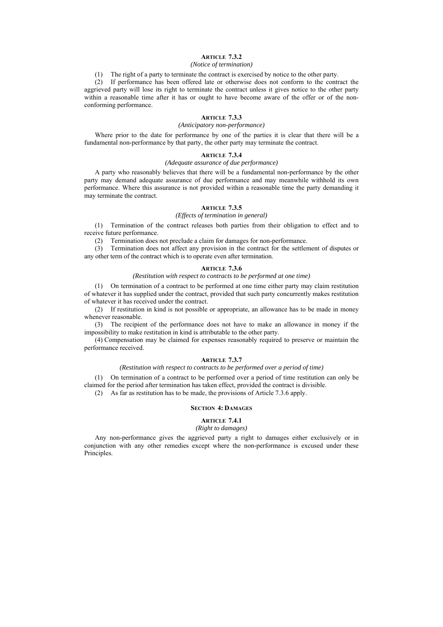# **ARTICLE 7.3.2**

### *(Notice of termination)*

(1) The right of a party to terminate the contract is exercised by notice to the other party.

(2) If performance has been offered late or otherwise does not conform to the contract the aggrieved party will lose its right to terminate the contract unless it gives notice to the other party within a reasonable time after it has or ought to have become aware of the offer or of the nonconforming performance.

### **ARTICLE 7.3.3**

# *(Anticipatory non-performance)*

Where prior to the date for performance by one of the parties it is clear that there will be a fundamental non-performance by that party, the other party may terminate the contract.

#### **ARTICLE 7.3.4**

#### *(Adequate assurance of due performance)*

A party who reasonably believes that there will be a fundamental non-performance by the other party may demand adequate assurance of due performance and may meanwhile withhold its own performance. Where this assurance is not provided within a reasonable time the party demanding it may terminate the contract.

### **ARTICLE 7.3.5**

#### *(Effects of termination in general)*

(1) Termination of the contract releases both parties from their obligation to effect and to receive future performance.

(2) Termination does not preclude a claim for damages for non-performance.

(3) Termination does not affect any provision in the contract for the settlement of disputes or any other term of the contract which is to operate even after termination.

#### **ARTICLE 7.3.6**

### *(Restitution with respect to contracts to be performed at one time)*

(1) On termination of a contract to be performed at one time either party may claim restitution of whatever it has supplied under the contract, provided that such party concurrently makes restitution of whatever it has received under the contract.

(2) If restitution in kind is not possible or appropriate, an allowance has to be made in money whenever reasonable.

(3) The recipient of the performance does not have to make an allowance in money if the impossibility to make restitution in kind is attributable to the other party.

(4) Compensation may be claimed for expenses reasonably required to preserve or maintain the performance received.

# **ARTICLE 7.3.7**

#### *(Restitution with respect to contracts to be performed over a period of time)*

(1) On termination of a contract to be performed over a period of time restitution can only be claimed for the period after termination has taken effect, provided the contract is divisible.

(2) As far as restitution has to be made, the provisions of Article 7.3.6 apply.

#### **SECTION 4: DAMAGES**

# **ARTICLE 7.4.1**

# *(Right to damages)*

Any non-performance gives the aggrieved party a right to damages either exclusively or in conjunction with any other remedies except where the non-performance is excused under these Principles.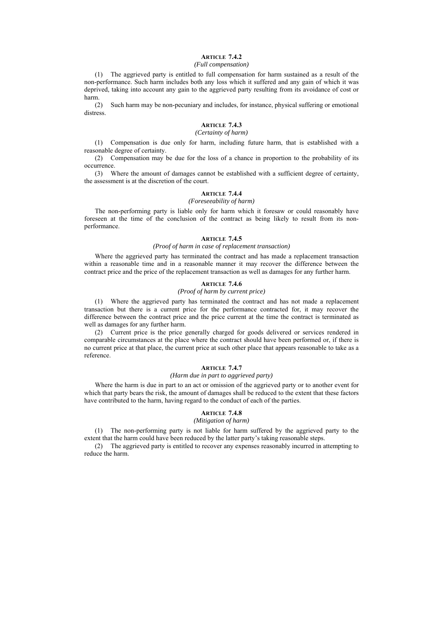# **ARTICLE 7.4.2**

# *(Full compensation)*

(1) The aggrieved party is entitled to full compensation for harm sustained as a result of the non-performance. Such harm includes both any loss which it suffered and any gain of which it was deprived, taking into account any gain to the aggrieved party resulting from its avoidance of cost or harm.

(2) Such harm may be non-pecuniary and includes, for instance, physical suffering or emotional distress.

# **ARTICLE 7.4.3**

#### *(Certainty of harm)*

(1) Compensation is due only for harm, including future harm, that is established with a reasonable degree of certainty.

(2) Compensation may be due for the loss of a chance in proportion to the probability of its occurrence.

(3) Where the amount of damages cannot be established with a sufficient degree of certainty, the assessment is at the discretion of the court.

# **ARTICLE 7.4.4**

# *(Foreseeability of harm)*

The non-performing party is liable only for harm which it foresaw or could reasonably have foreseen at the time of the conclusion of the contract as being likely to result from its nonperformance.

# **ARTICLE 7.4.5**

#### *(Proof of harm in case of replacement transaction)*

Where the aggrieved party has terminated the contract and has made a replacement transaction within a reasonable time and in a reasonable manner it may recover the difference between the contract price and the price of the replacement transaction as well as damages for any further harm.

### **ARTICLE 7.4.6**

# *(Proof of harm by current price)*

(1) Where the aggrieved party has terminated the contract and has not made a replacement transaction but there is a current price for the performance contracted for, it may recover the difference between the contract price and the price current at the time the contract is terminated as well as damages for any further harm.

(2) Current price is the price generally charged for goods delivered or services rendered in comparable circumstances at the place where the contract should have been performed or, if there is no current price at that place, the current price at such other place that appears reasonable to take as a reference.

#### **ARTICLE 7.4.7**

# *(Harm due in part to aggrieved party)*

Where the harm is due in part to an act or omission of the aggrieved party or to another event for which that party bears the risk, the amount of damages shall be reduced to the extent that these factors have contributed to the harm, having regard to the conduct of each of the parties.

# **ARTICLE 7.4.8**

# *(Mitigation of harm)*

(1) The non-performing party is not liable for harm suffered by the aggrieved party to the extent that the harm could have been reduced by the latter party's taking reasonable steps.

(2) The aggrieved party is entitled to recover any expenses reasonably incurred in attempting to reduce the harm.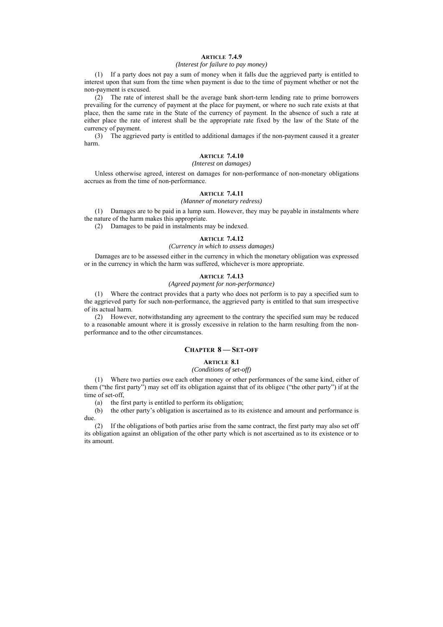# **ARTICLE 7.4.9**

#### *(Interest for failure to pay money)*

(1) If a party does not pay a sum of money when it falls due the aggrieved party is entitled to interest upon that sum from the time when payment is due to the time of payment whether or not the non-payment is excused.

(2) The rate of interest shall be the average bank short-term lending rate to prime borrowers prevailing for the currency of payment at the place for payment, or where no such rate exists at that place, then the same rate in the State of the currency of payment. In the absence of such a rate at either place the rate of interest shall be the appropriate rate fixed by the law of the State of the currency of payment.

(3) The aggrieved party is entitled to additional damages if the non-payment caused it a greater harm.

#### **ARTICLE 7.4.10**

#### *(Interest on damages)*

Unless otherwise agreed, interest on damages for non-performance of non-monetary obligations accrues as from the time of non-performance.

#### **ARTICLE 7.4.11**

### *(Manner of monetary redress)*

(1) Damages are to be paid in a lump sum. However, they may be payable in instalments where the nature of the harm makes this appropriate.

(2) Damages to be paid in instalments may be indexed.

# **ARTICLE 7.4.12**

### *(Currency in which to assess damages)*

Damages are to be assessed either in the currency in which the monetary obligation was expressed or in the currency in which the harm was suffered, whichever is more appropriate.

#### **ARTICLE 7.4.13**

### *(Agreed payment for non-performance)*

(1) Where the contract provides that a party who does not perform is to pay a specified sum to the aggrieved party for such non-performance, the aggrieved party is entitled to that sum irrespective of its actual harm.

(2) However, notwithstanding any agreement to the contrary the specified sum may be reduced to a reasonable amount where it is grossly excessive in relation to the harm resulting from the nonperformance and to the other circumstances.

# **CHAPTER 8 — SET-OFF**

### **ARTICLE 8.1**

### *(Conditions of set-off)*

(1) Where two parties owe each other money or other performances of the same kind, either of them ("the first party") may set off its obligation against that of its obligee ("the other party") if at the time of set-off

(a) the first party is entitled to perform its obligation;

(b) the other party's obligation is ascertained as to its existence and amount and performance is due.

(2) If the obligations of both parties arise from the same contract, the first party may also set off its obligation against an obligation of the other party which is not ascertained as to its existence or to its amount.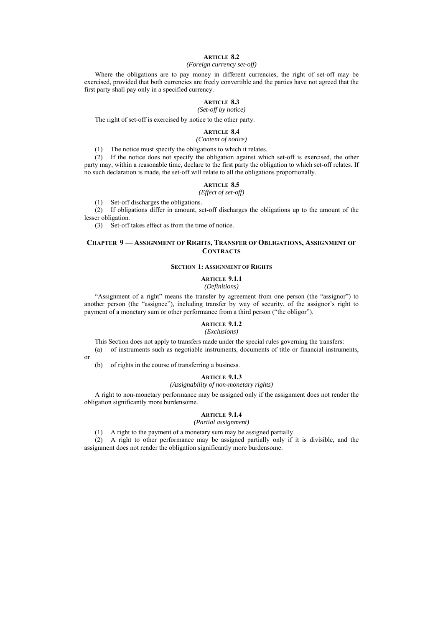# **ARTICLE 8.2**

#### *(Foreign currency set-off)*

Where the obligations are to pay money in different currencies, the right of set-off may be exercised, provided that both currencies are freely convertible and the parties have not agreed that the first party shall pay only in a specified currency.

#### **ARTICLE 8.3**

# *(Set-off by notice)*

The right of set-off is exercised by notice to the other party.

# **ARTICLE 8.4**

#### *(Content of notice)*

(1) The notice must specify the obligations to which it relates.

(2) If the notice does not specify the obligation against which set-off is exercised, the other party may, within a reasonable time, declare to the first party the obligation to which set-off relates. If no such declaration is made, the set-off will relate to all the obligations proportionally.

# **ARTICLE 8.5**

*(Effect of set-off)* 

(1) Set-off discharges the obligations.

(2) If obligations differ in amount, set-off discharges the obligations up to the amount of the lesser obligation.

(3) Set-off takes effect as from the time of notice.

# **CHAPTER 9 — ASSIGNMENT OF RIGHTS, TRANSFER OF OBLIGATIONS, ASSIGNMENT OF CONTRACTS**

#### **SECTION 1: ASSIGNMENT OF RIGHTS**

# **ARTICLE 9.1.1**

*(Definitions)* 

"Assignment of a right" means the transfer by agreement from one person (the "assignor") to another person (the "assignee"), including transfer by way of security, of the assignor's right to payment of a monetary sum or other performance from a third person ("the obligor").

# **ARTICLE 9.1.2**

# *(Exclusions)*

This Section does not apply to transfers made under the special rules governing the transfers:

(a) of instruments such as negotiable instruments, documents of title or financial instruments,

(b) of rights in the course of transferring a business.

or

#### **ARTICLE 9.1.3**

#### *(Assignability of non-monetary rights)*

A right to non-monetary performance may be assigned only if the assignment does not render the obligation significantly more burdensome.

### **ARTICLE 9.1.4**

# *(Partial assignment)*

(1) A right to the payment of a monetary sum may be assigned partially.

(2) A right to other performance may be assigned partially only if it is divisible, and the assignment does not render the obligation significantly more burdensome.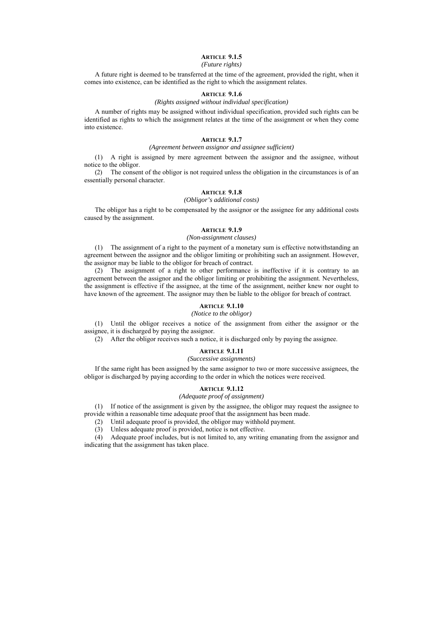# **ARTICLE 9.1.5**

### *(Future rights)*

A future right is deemed to be transferred at the time of the agreement, provided the right, when it comes into existence, can be identified as the right to which the assignment relates.

# **ARTICLE 9.1.6**

# *(Rights assigned without individual specification)*

A number of rights may be assigned without individual specification, provided such rights can be identified as rights to which the assignment relates at the time of the assignment or when they come into existence.

#### **ARTICLE 9.1.7**

#### *(Agreement between assignor and assignee sufficient)*

(1) A right is assigned by mere agreement between the assignor and the assignee, without notice to the obligor.

(2) The consent of the obligor is not required unless the obligation in the circumstances is of an essentially personal character.

# **ARTICLE 9.1.8**

# *(Obligor's additional costs)*

The obligor has a right to be compensated by the assignor or the assignee for any additional costs caused by the assignment.

#### **ARTICLE 9.1.9**

#### *(Non-assignment clauses)*

(1) The assignment of a right to the payment of a monetary sum is effective notwithstanding an agreement between the assignor and the obligor limiting or prohibiting such an assignment. However, the assignor may be liable to the obligor for breach of contract.

(2) The assignment of a right to other performance is ineffective if it is contrary to an agreement between the assignor and the obligor limiting or prohibiting the assignment. Nevertheless, the assignment is effective if the assignee, at the time of the assignment, neither knew nor ought to have known of the agreement. The assignor may then be liable to the obligor for breach of contract.

#### **ARTICLE 9.1.10**

#### *(Notice to the obligor)*

(1) Until the obligor receives a notice of the assignment from either the assignor or the assignee, it is discharged by paying the assignor.

(2) After the obligor receives such a notice, it is discharged only by paying the assignee.

### **ARTICLE 9.1.11**

*(Successive assignments)*

If the same right has been assigned by the same assignor to two or more successive assignees, the obligor is discharged by paying according to the order in which the notices were received.

# **ARTICLE 9.1.12**

#### *(Adequate proof of assignment)*

(1) If notice of the assignment is given by the assignee, the obligor may request the assignee to provide within a reasonable time adequate proof that the assignment has been made.

- (2) Until adequate proof is provided, the obligor may withhold payment.
- (3) Unless adequate proof is provided, notice is not effective.

(4) Adequate proof includes, but is not limited to, any writing emanating from the assignor and indicating that the assignment has taken place.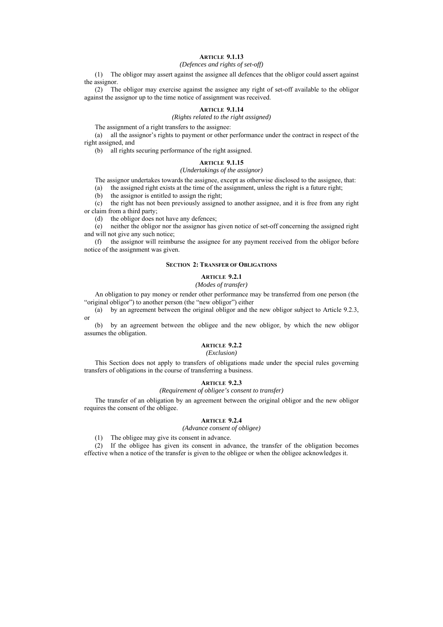# **ARTICLE 9.1.13**

# *(Defences and rights of set-off)*

(1) The obligor may assert against the assignee all defences that the obligor could assert against the assignor.

(2) The obligor may exercise against the assignee any right of set-off available to the obligor against the assignor up to the time notice of assignment was received.

### **ARTICLE 9.1.14**

*(Rights related to the right assigned)* 

The assignment of a right transfers to the assignee:

(a) all the assignor's rights to payment or other performance under the contract in respect of the right assigned, and

(b) all rights securing performance of the right assigned.

#### **ARTICLE 9.1.15**

#### *(Undertakings of the assignor)*

The assignor undertakes towards the assignee, except as otherwise disclosed to the assignee, that:

(a) the assigned right exists at the time of the assignment, unless the right is a future right;

(b) the assignor is entitled to assign the right;

(c) the right has not been previously assigned to another assignee, and it is free from any right or claim from a third party;

(d) the obligor does not have any defences;

(e) neither the obligor nor the assignor has given notice of set-off concerning the assigned right and will not give any such notice;

(f) the assignor will reimburse the assignee for any payment received from the obligor before notice of the assignment was given.

### **SECTION 2: TRANSFER OF OBLIGATIONS**

#### **ARTICLE 9.2.1**

#### *(Modes of transfer)*

An obligation to pay money or render other performance may be transferred from one person (the "original obligor") to another person (the "new obligor") either

(a) by an agreement between the original obligor and the new obligor subject to Article 9.2.3, or

(b) by an agreement between the obligee and the new obligor, by which the new obligor assumes the obligation.

# **ARTICLE 9.2.2**

### *(Exclusion)*

This Section does not apply to transfers of obligations made under the special rules governing transfers of obligations in the course of transferring a business.

#### **ARTICLE 9.2.3**

#### *(Requirement of obligee's consent to transfer)*

The transfer of an obligation by an agreement between the original obligor and the new obligor requires the consent of the obligee.

### **ARTICLE 9.2.4**

*(Advance consent of obligee)* 

(1) The obligee may give its consent in advance.

(2) If the obligee has given its consent in advance, the transfer of the obligation becomes effective when a notice of the transfer is given to the obligee or when the obligee acknowledges it.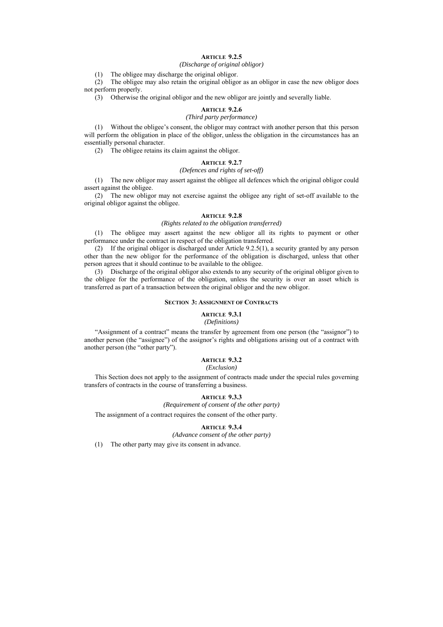# **ARTICLE 9.2.5**

*(Discharge of original obligor)* 

(1) The obligee may discharge the original obligor.

(2) The obligee may also retain the original obligor as an obligor in case the new obligor does not perform properly.

(3) Otherwise the original obligor and the new obligor are jointly and severally liable.

#### **ARTICLE 9.2.6**

### *(Third party performance)*

(1) Without the obligee's consent, the obligor may contract with another person that this person will perform the obligation in place of the obligor, unless the obligation in the circumstances has an essentially personal character.

(2) The obligee retains its claim against the obligor.

#### **ARTICLE 9.2.7**

#### *(Defences and rights of set-off)*

(1) The new obligor may assert against the obligee all defences which the original obligor could assert against the obligee.

(2) The new obligor may not exercise against the obligee any right of set-off available to the original obligor against the obligee.

### **ARTICLE 9.2.8**

#### *(Rights related to the obligation transferred)*

(1) The obligee may assert against the new obligor all its rights to payment or other performance under the contract in respect of the obligation transferred.

(2) If the original obligor is discharged under Article 9.2.5(1), a security granted by any person other than the new obligor for the performance of the obligation is discharged, unless that other person agrees that it should continue to be available to the obligee.

(3) Discharge of the original obligor also extends to any security of the original obligor given to the obligee for the performance of the obligation, unless the security is over an asset which is transferred as part of a transaction between the original obligor and the new obligor.

#### **SECTION 3: ASSIGNMENT OF CONTRACTS**

# **ARTICLE 9.3.1**

# *(Definitions)*

"Assignment of a contract" means the transfer by agreement from one person (the "assignor") to another person (the "assignee") of the assignor's rights and obligations arising out of a contract with another person (the "other party").

### **ARTICLE 9.3.2**

#### *(Exclusion)*

This Section does not apply to the assignment of contracts made under the special rules governing transfers of contracts in the course of transferring a business.

# **ARTICLE 9.3.3**

*(Requirement of consent of the other party)* 

The assignment of a contract requires the consent of the other party.

# **ARTICLE 9.3.4**

*(Advance consent of the other party)* 

(1) The other party may give its consent in advance.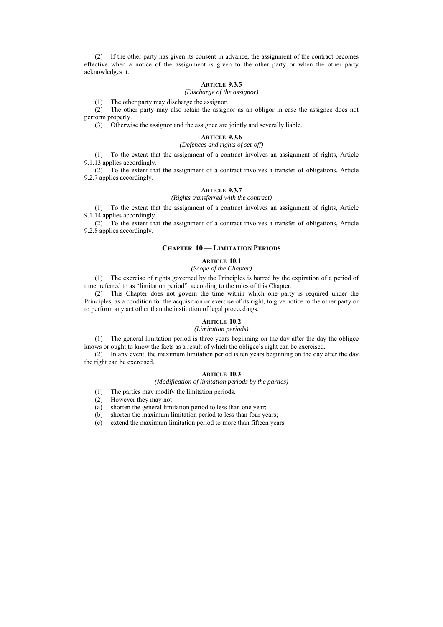(2) If the other party has given its consent in advance, the assignment of the contract becomes effective when a notice of the assignment is given to the other party or when the other party acknowledges it.

# **ARTICLE 9.3.5**

*(Discharge of the assignor)* 

(1) The other party may discharge the assignor.

(2) The other party may also retain the assignor as an obligor in case the assignee does not perform properly.

(3) Otherwise the assignor and the assignee are jointly and severally liable.

### **ARTICLE 9.3.6**

# *(Defences and rights of set-off)*

(1) To the extent that the assignment of a contract involves an assignment of rights, Article 9.1.13 applies accordingly.

(2) To the extent that the assignment of a contract involves a transfer of obligations, Article 9.2.7 applies accordingly.

# **ARTICLE 9.3.7**

*(Rights transferred with the contract)* 

(1) To the extent that the assignment of a contract involves an assignment of rights, Article 9.1.14 applies accordingly.

(2) To the extent that the assignment of a contract involves a transfer of obligations, Article 9.2.8 applies accordingly.

#### **CHAPTER 10 — LIMITATION PERIODS**

#### **ARTICLE 10.1**

# *(Scope of the Chapter)*

(1) The exercise of rights governed by the Principles is barred by the expiration of a period of time, referred to as "limitation period", according to the rules of this Chapter.

(2) This Chapter does not govern the time within which one party is required under the Principles, as a condition for the acquisition or exercise of its right, to give notice to the other party or to perform any act other than the institution of legal proceedings.

# **ARTICLE 10.2**

*(Limitation periods)* 

(1) The general limitation period is three years beginning on the day after the day the obligee knows or ought to know the facts as a result of which the obligee's right can be exercised.

(2) In any event, the maximum limitation period is ten years beginning on the day after the day the right can be exercised.

### **ARTICLE 10.3**

#### *(Modification of limitation periods by the parties)*

- (1) The parties may modify the limitation periods.
- (2) However they may not
- (a) shorten the general limitation period to less than one year;
- (b) shorten the maximum limitation period to less than four years;
- (c) extend the maximum limitation period to more than fifteen years.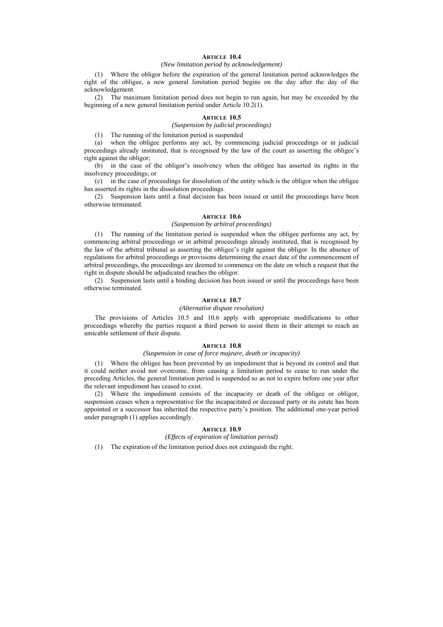# **ARTICLE 10.4**

#### *(New limitation period by acknowledgement)*

(1) Where the obligor before the expiration of the general limitation period acknowledges the right of the obligee, a new general limitation period begins on the day after the day of the acknowledgement.

(2) The maximum limitation period does not begin to run again, but may be exceeded by the beginning of a new general limitation period under Article 10.2(1).

#### **ARTICLE 10.5**

# *(Suspension by judicial proceedings)*

(1) The running of the limitation period is suspended

(a) when the obligee performs any act, by commencing judicial proceedings or in judicial proceedings already instituted, that is recognised by the law of the court as asserting the obligee's right against the obligor;

(b) in the case of the obligor's insolvency when the obligee has asserted its rights in the insolvency proceedings; or

(c) in the case of proceedings for dissolution of the entity which is the obligor when the obligee has asserted its rights in the dissolution proceedings.

(2) Suspension lasts until a final decision has been issued or until the proceedings have been otherwise terminated.

#### **ARTICLE 10.6**

### *(Suspension by arbitral proceedings)*

(1) The running of the limitation period is suspended when the obligee performs any act, by commencing arbitral proceedings or in arbitral proceedings already instituted, that is recognised by the law of the arbitral tribunal as asserting the obligee's right against the obligor. In the absence of regulations for arbitral proceedings or provisions determining the exact date of the commencement of arbitral proceedings, the proceedings are deemed to commence on the date on which a request that the right in dispute should be adjudicated reaches the obligor.

(2) Suspension lasts until a binding decision has been issued or until the proceedings have been otherwise terminated.

#### **ARTICLE 10.7**

#### *(Alternative dispute resolution)*

The provisions of Articles 10.5 and 10.6 apply with appropriate modifications to other proceedings whereby the parties request a third person to assist them in their attempt to reach an amicable settlement of their dispute.

#### **ARTICLE 10.8**

### *(Suspension in case of force majeure, death or incapacity)*

(1) Where the obligee has been prevented by an impediment that is beyond its control and that it could neither avoid nor overcome, from causing a limitation period to cease to run under the preceding Articles, the general limitation period is suspended so as not to expire before one year after the relevant impediment has ceased to exist.

(2) Where the impediment consists of the incapacity or death of the obligee or obligor, suspension ceases when a representative for the incapacitated or deceased party or its estate has been appointed or a successor has inherited the respective party's position. The additional one-year period under paragraph (1) applies accordingly.

### **ARTICLE 10.9**

#### *(Effects of expiration of limitation period)*

(1) The expiration of the limitation period does not extinguish the right.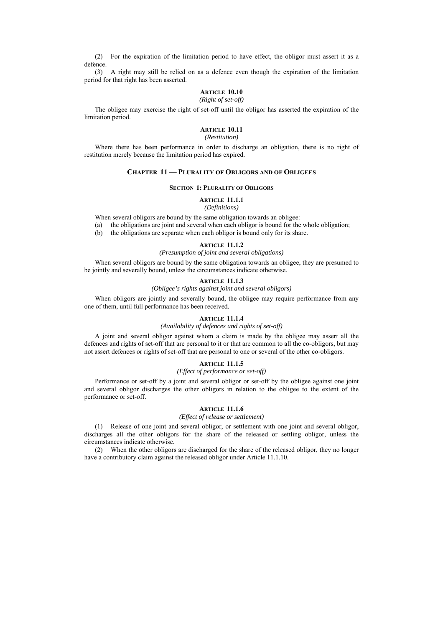(2) For the expiration of the limitation period to have effect, the obligor must assert it as a defence.

(3) A right may still be relied on as a defence even though the expiration of the limitation period for that right has been asserted.

# **ARTICLE 10.10**

#### *(Right of set-off)*

The obligee may exercise the right of set-off until the obligor has asserted the expiration of the limitation period.

# **ARTICLE 10.11**

#### *(Restitution)*

Where there has been performance in order to discharge an obligation, there is no right of restitution merely because the limitation period has expired.

### **CHAPTER 11 — PLURALITY OF OBLIGORS AND OF OBLIGEES**

#### **SECTION 1: PLURALITY OF OBLIGORS**

#### **ARTICLE 11.1.1**

# *(Definitions)*

When several obligors are bound by the same obligation towards an obligee:

- (a) the obligations are joint and several when each obligor is bound for the whole obligation;
- (b) the obligations are separate when each obligor is bound only for its share.

# **ARTICLE 11.1.2**

#### *(Presumption of joint and several obligations)*

When several obligors are bound by the same obligation towards an obligee, they are presumed to be jointly and severally bound, unless the circumstances indicate otherwise.

### **ARTICLE 11.1.3**

### *(Obligee's rights against joint and several obligors)*

When obligors are jointly and severally bound, the obligee may require performance from any one of them, until full performance has been received.

### **ARTICLE 11.1.4**

# *(Availability of defences and rights of set-off)*

A joint and several obligor against whom a claim is made by the obligee may assert all the defences and rights of set-off that are personal to it or that are common to all the co-obligors, but may not assert defences or rights of set-off that are personal to one or several of the other co-obligors.

#### **ARTICLE 11.1.5**

#### *(Effect of performance or set-off)*

Performance or set-off by a joint and several obligor or set-off by the obligee against one joint and several obligor discharges the other obligors in relation to the obligee to the extent of the performance or set-off.

#### **ARTICLE 11.1.6**

# *(Effect of release or settlement)*

(1) Release of one joint and several obligor, or settlement with one joint and several obligor, discharges all the other obligors for the share of the released or settling obligor, unless the circumstances indicate otherwise.

(2) When the other obligors are discharged for the share of the released obligor, they no longer have a contributory claim against the released obligor under Article 11.1.10.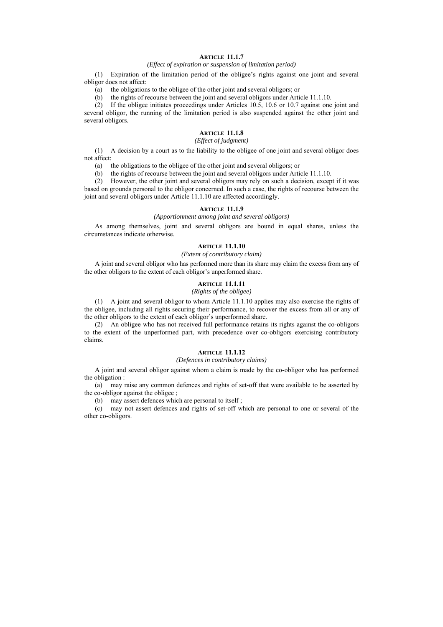# **ARTICLE 11.1.7**

# *(Effect of expiration or suspension of limitation period)*

(1) Expiration of the limitation period of the obligee's rights against one joint and several obligor does not affect:

(a) the obligations to the obligee of the other joint and several obligors; or

(b) the rights of recourse between the joint and several obligors under Article 11.1.10.

(2) If the obligee initiates proceedings under Articles 10.5, 10.6 or 10.7 against one joint and several obligor, the running of the limitation period is also suspended against the other joint and several obligors.

# **ARTICLE 11.1.8**

# *(Effect of judgment)*

(1) A decision by a court as to the liability to the obligee of one joint and several obligor does not affect:

(a) the obligations to the obligee of the other joint and several obligors; or

(b) the rights of recourse between the joint and several obligors under Article 11.1.10.

(2) However, the other joint and several obligors may rely on such a decision, except if it was based on grounds personal to the obligor concerned. In such a case, the rights of recourse between the joint and several obligors under Article 11.1.10 are affected accordingly.

#### **ARTICLE 11.1.9**

#### *(Apportionment among joint and several obligors)*

As among themselves, joint and several obligors are bound in equal shares, unless the circumstances indicate otherwise.

#### **ARTICLE 11.1.10**

#### *(Extent of contributory claim)*

A joint and several obligor who has performed more than its share may claim the excess from any of the other obligors to the extent of each obligor's unperformed share.

### **ARTICLE 11.1.11**

### *(Rights of the obligee)*

(1) A joint and several obligor to whom Article 11.1.10 applies may also exercise the rights of the obligee, including all rights securing their performance, to recover the excess from all or any of the other obligors to the extent of each obligor's unperformed share.

(2) An obligee who has not received full performance retains its rights against the co-obligors to the extent of the unperformed part, with precedence over co-obligors exercising contributory claims.

#### **ARTICLE 11.1.12**

# *(Defences in contributory claims)*

A joint and several obligor against whom a claim is made by the co-obligor who has performed the obligation :

(a) may raise any common defences and rights of set-off that were available to be asserted by the co-obligor against the obligee ;

(b) may assert defences which are personal to itself ;

(c) may not assert defences and rights of set-off which are personal to one or several of the other co-obligors.